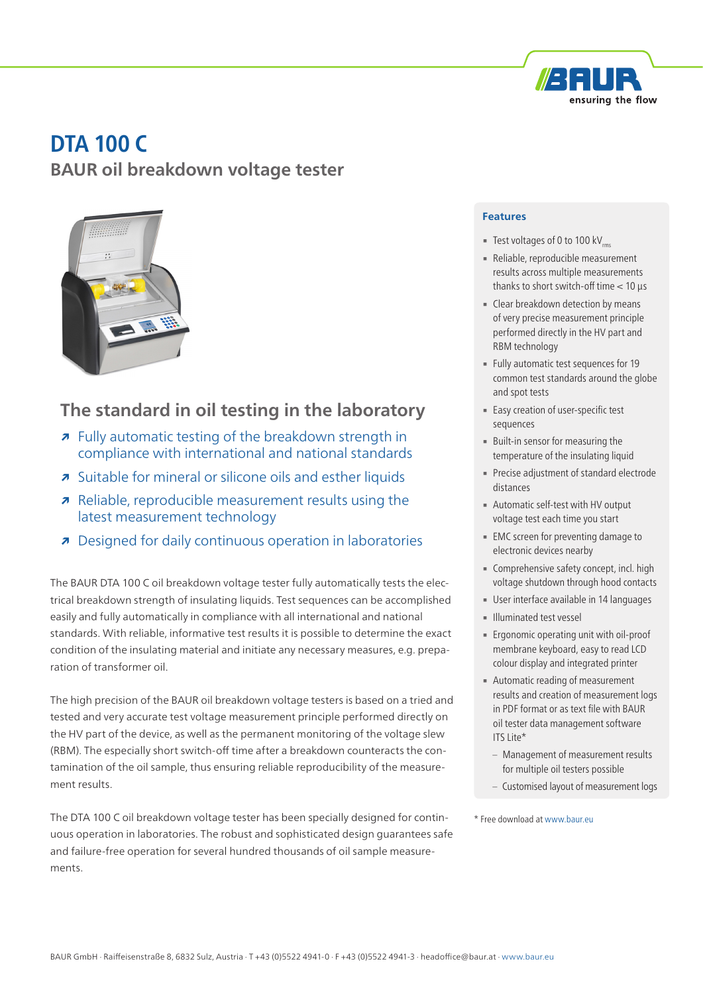

# **DTA 100 C BAUR oil breakdown voltage tester**



# **The standard in oil testing in the laboratory**

- **↗** Fully automatic testing of the breakdown strength in compliance with international and national standards
- **↗** Suitable for mineral or silicone oils and esther liquids
- **↗** Reliable, reproducible measurement results using the latest measurement technology
- **↗** Designed for daily continuous operation in laboratories

The BAUR DTA 100 C oil breakdown voltage tester fully automatically tests the electrical breakdown strength of insulating liquids. Test sequences can be accomplished easily and fully automatically in compliance with all international and national standards. With reliable, informative test results it is possible to determine the exact condition of the insulating material and initiate any necessary measures, e.g. preparation of transformer oil.

The high precision of the BAUR oil breakdown voltage testers is based on a tried and tested and very accurate test voltage measurement principle performed directly on the HV part of the device, as well as the permanent monitoring of the voltage slew (RBM). The especially short switch-off time after a breakdown counteracts the contamination of the oil sample, thus ensuring reliable reproducibility of the measurement results.

The DTA 100 C oil breakdown voltage tester has been specially designed for continuous operation in laboratories. The robust and sophisticated design guarantees safe and failure-free operation for several hundred thousands of oil sample measurements.

### **Features**

- **Test voltages of 0 to 100 kV**
- Reliable, reproducible measurement results across multiple measurements thanks to short switch-off time  $< 10 \mu s$
- **Exercise 1** Clear breakdown detection by means of very precise measurement principle performed directly in the HV part and RBM technology
- Fully automatic test sequences for 19 common test standards around the globe and spot tests
- **Easy creation of user-specific test** sequences
- **Built-in sensor for measuring the** temperature of the insulating liquid
- **Precise adjustment of standard electrode** distances
- **EXECUTE: Automatic self-test with HV output** voltage test each time you start
- **EMC** screen for preventing damage to electronic devices nearby
- **Comprehensive safety concept, incl. high** voltage shutdown through hood contacts
- **User interface available in 14 languages**
- **E** Illuminated test vessel
- Ergonomic operating unit with oil-proof membrane keyboard, easy to read LCD colour display and integrated printer
- **EXEC** Automatic reading of measurement results and creation of measurement logs in PDF format or as text file with BAUR oil tester data management software  $ITS$  Lite\*
	- Management of measurement results for multiple oil testers possible
	- Customised layout of measurement logs

\* Free download at www.baur.eu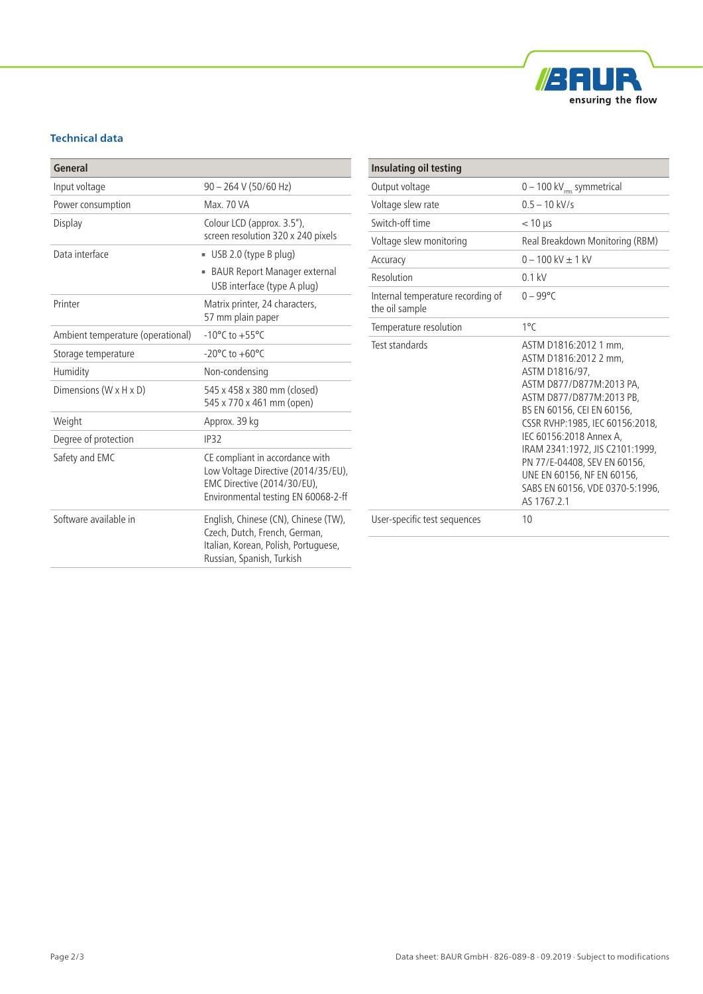

## **Technical data**

| General                           |                                                                                                                                              |
|-----------------------------------|----------------------------------------------------------------------------------------------------------------------------------------------|
| Input voltage                     | $90 - 264$ V (50/60 Hz)                                                                                                                      |
| Power consumption                 | Max. 70 VA                                                                                                                                   |
| Display                           | Colour LCD (approx. 3.5"),<br>screen resolution 320 x 240 pixels                                                                             |
| Data interface                    | $\blacksquare$ USB 2.0 (type B plug)                                                                                                         |
|                                   | BAUR Report Manager external<br>USB interface (type A plug)                                                                                  |
| Printer                           | Matrix printer, 24 characters,<br>57 mm plain paper                                                                                          |
| Ambient temperature (operational) | $-10^{\circ}$ C to $+55^{\circ}$ C                                                                                                           |
| Storage temperature               | $-20^{\circ}$ C to $+60^{\circ}$ C                                                                                                           |
| Humidity                          | Non-condensing                                                                                                                               |
| Dimensions (W x H x D)            | 545 x 458 x 380 mm (closed)<br>545 x 770 x 461 mm (open)                                                                                     |
| Weight                            | Approx. 39 kg                                                                                                                                |
| Degree of protection              | IP32                                                                                                                                         |
| Safety and EMC                    | CE compliant in accordance with<br>Low Voltage Directive (2014/35/EU),<br>EMC Directive (2014/30/EU),<br>Environmental testing EN 60068-2-ff |
| Software available in             | English, Chinese (CN), Chinese (TW),<br>Czech, Dutch, French, German,<br>Italian, Korean, Polish, Portuguese,<br>Russian, Spanish, Turkish   |

| <b>Insulating oil testing</b>                       |                                                                                                                                                                                                                                                                                                                                                                         |
|-----------------------------------------------------|-------------------------------------------------------------------------------------------------------------------------------------------------------------------------------------------------------------------------------------------------------------------------------------------------------------------------------------------------------------------------|
| Output voltage                                      | $0 - 100$ kV <sub>rms</sub> symmetrical                                                                                                                                                                                                                                                                                                                                 |
| Voltage slew rate                                   | $0.5 - 10$ kV/s                                                                                                                                                                                                                                                                                                                                                         |
| Switch-off time                                     | $<$ 10 $\mu$ s                                                                                                                                                                                                                                                                                                                                                          |
| Voltage slew monitoring                             | Real Breakdown Monitoring (RBM)                                                                                                                                                                                                                                                                                                                                         |
| Accuracy                                            | $0 - 100$ kV + 1 kV                                                                                                                                                                                                                                                                                                                                                     |
| Resolution                                          | $0.1$ kV                                                                                                                                                                                                                                                                                                                                                                |
| Internal temperature recording of<br>the oil sample | $0 - 99^{\circ}C$                                                                                                                                                                                                                                                                                                                                                       |
| Temperature resolution                              | $1^{\circ}$ C                                                                                                                                                                                                                                                                                                                                                           |
| Test standards                                      | ASTM D1816:2012 1 mm,<br>ASTM D1816:2012 2 mm.<br>ASTM D1816/97,<br>ASTM D877/D877M:2013 PA.<br>ASTM D877/D877M:2013 PB,<br>BS EN 60156, CEI EN 60156,<br>CSSR RVHP:1985, IEC 60156:2018,<br>IEC 60156:2018 Annex A,<br>IRAM 2341:1972, JIS C2101:1999,<br>PN 77/E-04408, SEV EN 60156,<br>UNE EN 60156, NF EN 60156,<br>SABS EN 60156, VDE 0370-5:1996,<br>AS 1767 2.1 |
| User-specific test sequences                        | 10                                                                                                                                                                                                                                                                                                                                                                      |